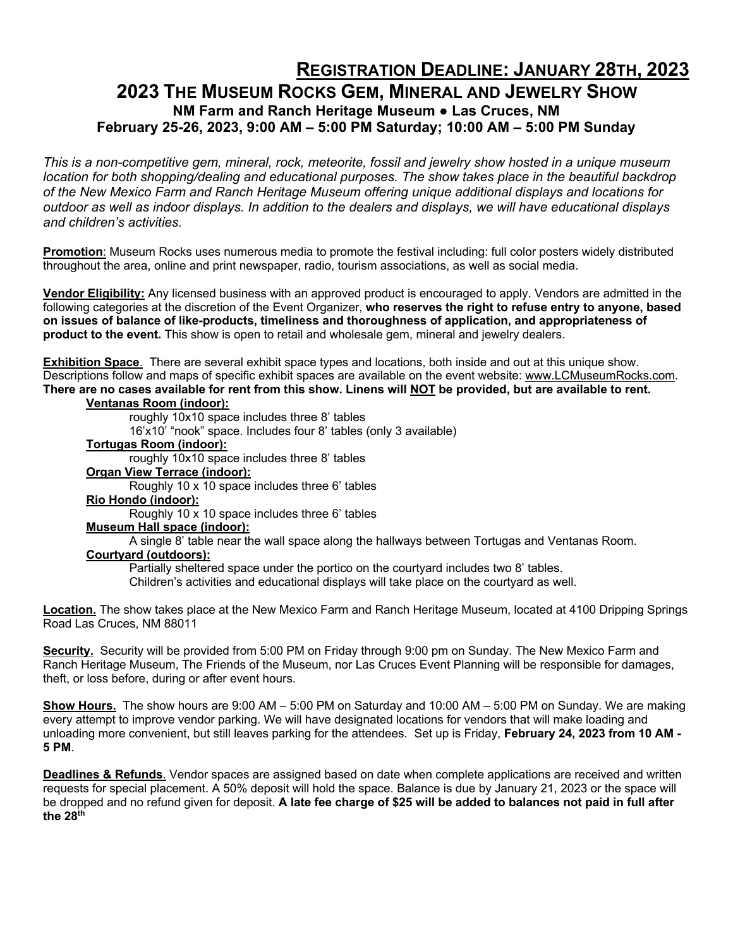## **REGISTRATION DEADLINE: JANUARY 28TH, 2023**

### **2023 THE MUSEUM ROCKS GEM, MINERAL AND JEWELRY SHOW NM Farm and Ranch Heritage Museum ● Las Cruces, NM February 25-26, 2023, 9:00 AM – 5:00 PM Saturday; 10:00 AM – 5:00 PM Sunday**

*This is a non-competitive gem, mineral, rock, meteorite, fossil and jewelry show hosted in a unique museum location for both shopping/dealing and educational purposes. The show takes place in the beautiful backdrop of the New Mexico Farm and Ranch Heritage Museum offering unique additional displays and locations for outdoor as well as indoor displays. In addition to the dealers and displays, we will have educational displays and children's activities.* 

**Promotion**: Museum Rocks uses numerous media to promote the festival including: full color posters widely distributed throughout the area, online and print newspaper, radio, tourism associations, as well as social media.

**Vendor Eligibility:** Any licensed business with an approved product is encouraged to apply. Vendors are admitted in the following categories at the discretion of the Event Organizer, **who reserves the right to refuse entry to anyone, based on issues of balance of like-products, timeliness and thoroughness of application, and appropriateness of product to the event.** This show is open to retail and wholesale gem, mineral and jewelry dealers.

**Exhibition Space**. There are several exhibit space types and locations, both inside and out at this unique show. Descriptions follow and maps of specific exhibit spaces are available on the event website: www.LCMuseumRocks.com. **There are no cases available for rent from this show. Linens will NOT be provided, but are available to rent. Ventanas Room (indoor):**

roughly 10x10 space includes three 8' tables

16'x10' "nook" space. Includes four 8' tables (only 3 available)

#### **Tortugas Room (indoor):**

roughly 10x10 space includes three 8' tables

**Organ View Terrace (indoor):**

Roughly 10 x 10 space includes three 6' tables

**Rio Hondo (indoor):**

Roughly 10 x 10 space includes three 6' tables

#### **Museum Hall space (indoor):**

A single 8' table near the wall space along the hallways between Tortugas and Ventanas Room.

#### **Courtyard (outdoors):**

Partially sheltered space under the portico on the courtyard includes two 8' tables.

Children's activities and educational displays will take place on the courtyard as well.

**Location.** The show takes place at the New Mexico Farm and Ranch Heritage Museum, located at 4100 Dripping Springs Road Las Cruces, NM 88011

**Security.** Security will be provided from 5:00 PM on Friday through 9:00 pm on Sunday. The New Mexico Farm and Ranch Heritage Museum, The Friends of the Museum, nor Las Cruces Event Planning will be responsible for damages, theft, or loss before, during or after event hours.

**Show Hours.** The show hours are 9:00 AM – 5:00 PM on Saturday and 10:00 AM – 5:00 PM on Sunday. We are making every attempt to improve vendor parking. We will have designated locations for vendors that will make loading and unloading more convenient, but still leaves parking for the attendees. Set up is Friday, **February 24, 2023 from 10 AM - 5 PM**.

**Deadlines & Refunds**. Vendor spaces are assigned based on date when complete applications are received and written requests for special placement. A 50% deposit will hold the space. Balance is due by January 21, 2023 or the space will be dropped and no refund given for deposit. **A late fee charge of \$25 will be added to balances not paid in full after the 28th**